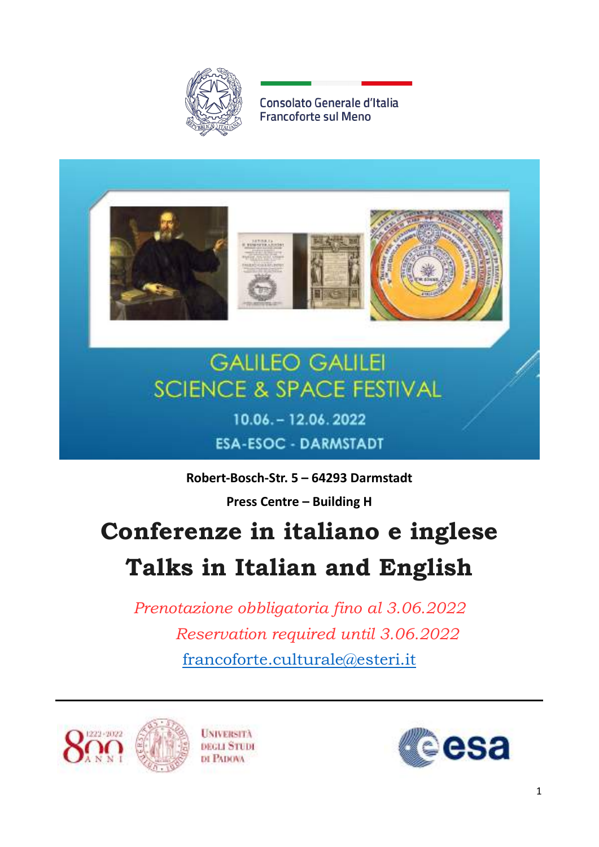

Consolato Generale d'Italia **Francoforte sul Meno** 







# **GALILEO GALILEI SCIENCE & SPACE FESTIVAL**

10.06. - 12.06.2022 **ESA-ESOC - DARMSTADT** 

**Robert-Bosch-Str. 5 – 64293 Darmstadt**

**Press Centre – Building H**

# **Conferenze in italiano e inglese Talks in Italian and English**

*Prenotazione obbligatoria fino al 3.06.2022 Reservation required until 3.06.2022* [francoforte.culturale@esteri.it](mailto:francoforte.culturale@esteri.it)



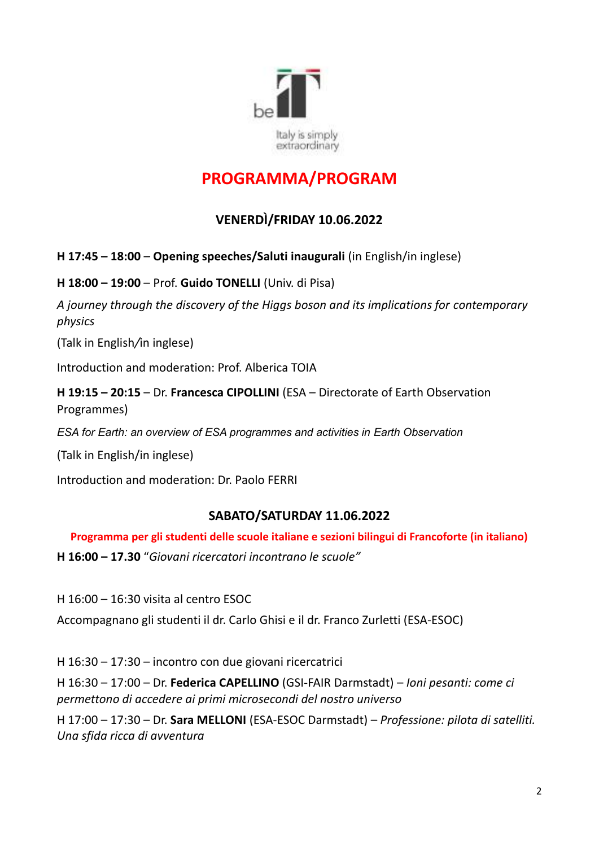

# **PROGRAMMA/PROGRAM**

# **VENERDÌ/FRIDAY 10.06.2022**

**H 17:45 – 18:00** *–* **Opening speeches/Saluti inaugurali** (in English/in inglese)

**H 18:00 – 19:00** – Prof. **Guido TONELLI** (Univ. di Pisa)

*A journey through the discovery of the Higgs boson and its implications for contemporary physics*

(Talk in English*/*in inglese)

Introduction and moderation: Prof. Alberica TOIA

**H 19:15 – 20:15** – Dr. **Francesca CIPOLLINI** (ESA – Directorate of Earth Observation Programmes)

*ESA for Earth: an overview of ESA programmes and activities in Earth Observation*

(Talk in English/in inglese)

Introduction and moderation: Dr. Paolo FERRI

# **SABATO/SATURDAY 11.06.2022**

**Programma per gli studenti delle scuole italiane e sezioni bilingui di Francoforte (in italiano)**

**H 16:00 – 17.30** "*Giovani ricercatori incontrano le scuole"*

H 16:00 – 16:30 visita al centro ESOC

Accompagnano gli studenti il dr. Carlo Ghisi e il dr. Franco Zurletti (ESA-ESOC)

H 16:30 – 17:30 – incontro con due giovani ricercatrici

H 16:30 – 17:00 – Dr. **Federica CAPELLINO** (GSI-FAIR Darmstadt) – *Ioni pesanti: come ci permettono di accedere ai primi microsecondi del nostro universo*

H 17:00 – 17:30 – Dr. **Sara MELLONI** (ESA-ESOC Darmstadt) – *Professione: pilota di satelliti. Una sfida ricca di avventura*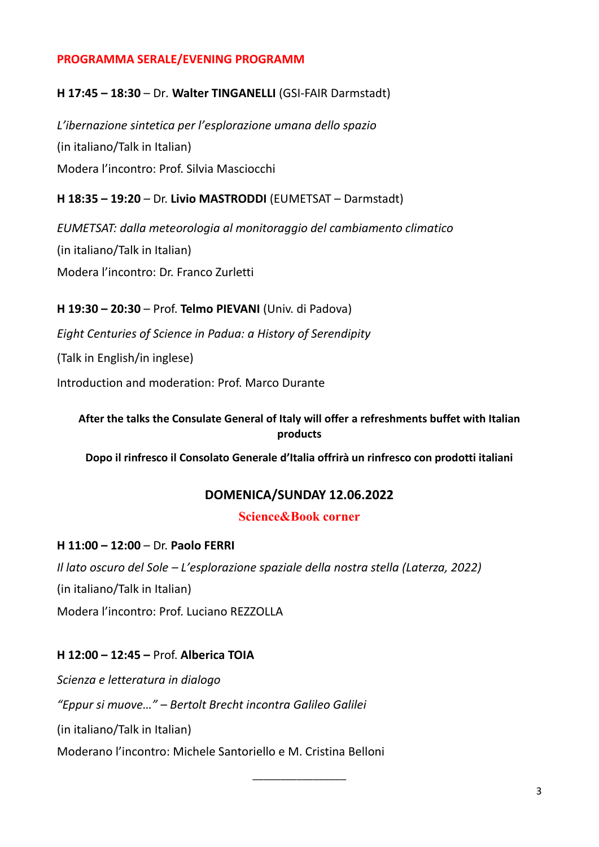## **PROGRAMMA SERALE/EVENING PROGRAMM**

## **H 17:45 – 18:30** – Dr*.* **Walter TINGANELLI** (GSI-FAIR Darmstadt)

*L'ibernazione sintetica per l'esplorazione umana dello spazio* (in italiano/Talk in Italian) Modera l'incontro: Prof. Silvia Masciocchi

## **H 18:35 – 19:20** *–* Dr. **Livio MASTRODDI** (EUMETSAT – Darmstadt)

*EUMETSAT: dalla meteorologia al monitoraggio del cambiamento climatico* (in italiano/Talk in Italian) Modera l'incontro: Dr. Franco Zurletti

## **H 19:30 – 20:30** – Prof. **Telmo PIEVANI** (Univ. di Padova)

*Eight Centuries of Science in Padua: a History of Serendipity*

(Talk in English/in inglese)

Introduction and moderation: Prof. Marco Durante

# **After the talks the Consulate General of Italy will offer a refreshments buffet with Italian products**

**Dopo il rinfresco il Consolato Generale d'Italia offrirà un rinfresco con prodotti italiani**

# **DOMENICA/SUNDAY 12.06.2022**

#### **Science&Book corner**

\_\_\_\_\_\_\_\_\_\_\_\_\_\_\_\_\_

### **H 11:00 – 12:00** – Dr. **Paolo FERRI**

*Il lato oscuro del Sole – L'esplorazione spaziale della nostra stella (Laterza, 2022)* (in italiano/Talk in Italian) Modera l'incontro: Prof. Luciano REZZOLLA

# **H 12:00 – 12:45 –** Prof. **Alberica TOIA**

*Scienza e letteratura in dialogo "Eppur si muove…" – Bertolt Brecht incontra Galileo Galilei*

(in italiano/Talk in Italian)

Moderano l'incontro: Michele Santoriello e M. Cristina Belloni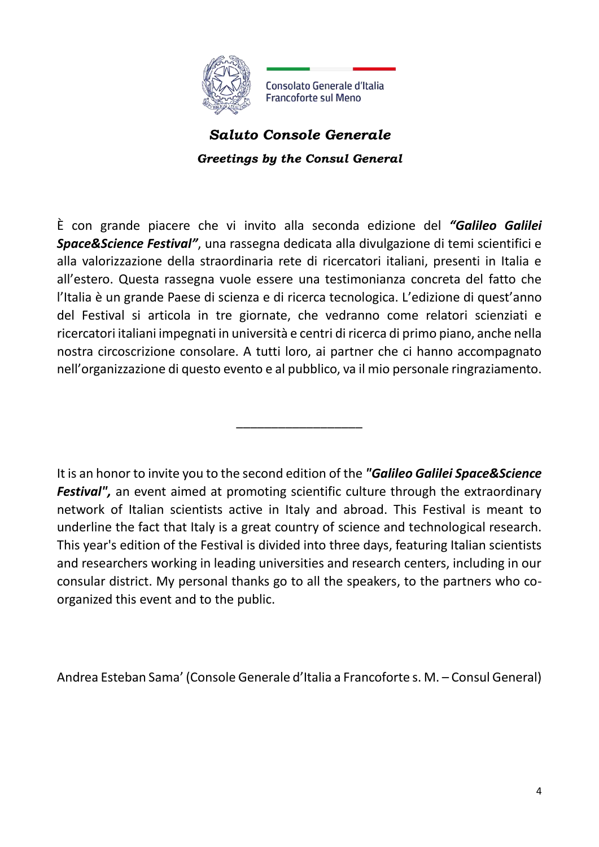

*Saluto Console Generale Greetings by the Consul General*

È con grande piacere che vi invito alla seconda edizione del *"Galileo Galilei Space&Science Festival"*, una rassegna dedicata alla divulgazione di temi scientifici e alla valorizzazione della straordinaria rete di ricercatori italiani, presenti in Italia e all'estero. Questa rassegna vuole essere una testimonianza concreta del fatto che l'Italia è un grande Paese di scienza e di ricerca tecnologica. L'edizione di quest'anno del Festival si articola in tre giornate, che vedranno come relatori scienziati e ricercatori italiani impegnati in università e centri di ricerca di primo piano, anche nella nostra circoscrizione consolare. A tutti loro, ai partner che ci hanno accompagnato nell'organizzazione di questo evento e al pubblico, va il mio personale ringraziamento.

It is an honor to invite you to the second edition of the *"Galileo Galilei Space&Science Festival"*, an event aimed at promoting scientific culture through the extraordinary network of Italian scientists active in Italy and abroad. This Festival is meant to underline the fact that Italy is a great country of science and technological research. This year's edition of the Festival is divided into three days, featuring Italian scientists and researchers working in leading universities and research centers, including in our consular district. My personal thanks go to all the speakers, to the partners who coorganized this event and to the public.

\_\_\_\_\_\_\_\_\_\_\_\_\_\_\_\_\_\_

Andrea Esteban Sama' (Console Generale d'Italia a Francoforte s. M. – Consul General)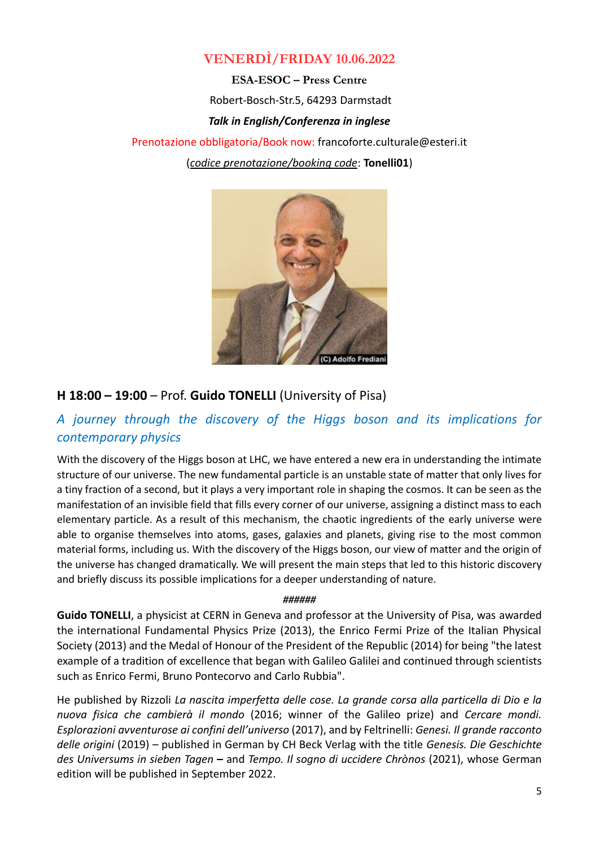# **VENERDÌ/FRIDAY 10.06.2022**

**ESA-ESOC – Press Centre** Robert-Bosch-Str.5, 64293 Darmstadt *Talk in English/Conferenza in inglese*  Prenotazione obbligatoria/Book now: [francoforte.culturale@esteri.it](mailto:francoforte.culturale@esteri.it)

(*codice prenotazione/booking code*: **Tonelli01**)



# **H 18:00 – 19:00** – Prof. **Guido TONELLI** (University of Pisa)

# *A journey through the discovery of the Higgs boson and its implications for contemporary physics*

With the discovery of the Higgs boson at LHC, we have entered a new era in understanding the intimate structure of our universe. The new fundamental particle is an unstable state of matter that only lives for a tiny fraction of a second, but it plays a very important role in shaping the cosmos. It can be seen as the manifestation of an invisible field that fills every corner of our universe, assigning a distinct mass to each elementary particle. As a result of this mechanism, the chaotic ingredients of the early universe were able to organise themselves into atoms, gases, galaxies and planets, giving rise to the most common material forms, including us. With the discovery of the Higgs boson, our view of matter and the origin of the universe has changed dramatically. We will present the main steps that led to this historic discovery and briefly discuss its possible implications for a deeper understanding of nature.

#### *######*

**Guido TONELLI**, a physicist at CERN in Geneva and professor at the University of Pisa, was awarded the international Fundamental Physics Prize (2013), the Enrico Fermi Prize of the Italian Physical Society (2013) and the Medal of Honour of the President of the Republic (2014) for being "the latest example of a tradition of excellence that began with Galileo Galilei and continued through scientists such as Enrico Fermi, Bruno Pontecorvo and Carlo Rubbia".

He published by Rizzoli *La nascita imperfetta delle cose. La grande corsa alla particella di Dio e la nuova fisica che cambierà il mondo* (2016; winner of the Galileo prize) and *Cercare mondi. Esplorazioni avventurose ai confini dell'universo* (2017), and by Feltrinelli: *Genesi. Il grande racconto delle origini* (2019) – published in German by CH Beck Verlag with the title *Genesis. Die Geschichte des Universums in sieben Tagen* **–** and *Tempo. Il sogno di uccidere Chrònos* (2021), whose German edition will be published in September 2022.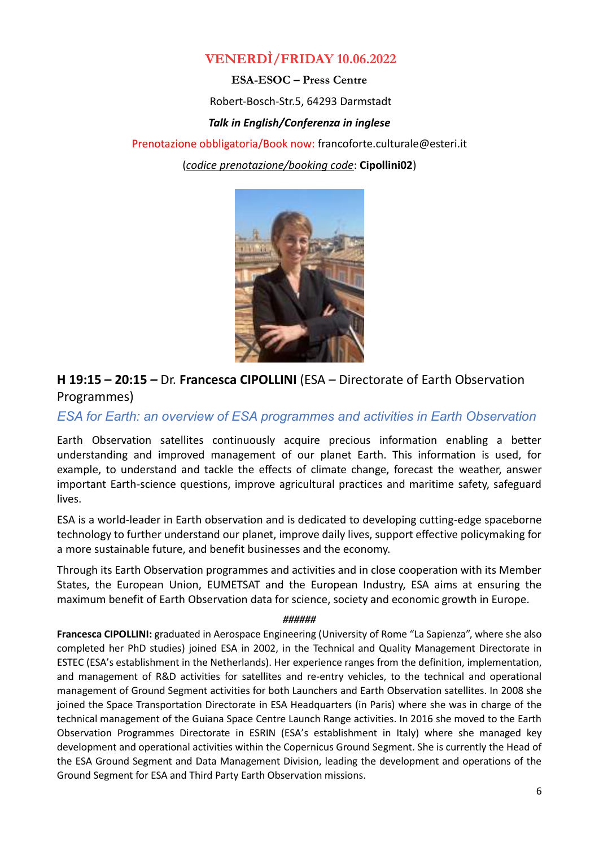# **VENERDÌ/FRIDAY 10.06.2022**

**ESA-ESOC – Press Centre**

Robert-Bosch-Str.5, 64293 Darmstadt

#### *Talk in English/Conferenza in inglese*

Prenotazione obbligatoria/Book now: [francoforte.culturale@esteri.it](mailto:francoforte.culturale@esteri.it) (*codice prenotazione/booking code*: **Cipollini02**)



**H 19:15 – 20:15** *–* Dr. **Francesca CIPOLLINI** (ESA – Directorate of Earth Observation Programmes)

*ESA for Earth: an overview of ESA programmes and activities in Earth Observation*

Earth Observation satellites continuously acquire precious information enabling a better understanding and improved management of our planet Earth. This information is used, for example, to understand and tackle the effects of climate change, forecast the weather, answer important Earth-science questions, improve agricultural practices and maritime safety, safeguard lives.

ESA is a world-leader in Earth observation and is dedicated to developing cutting-edge spaceborne technology to further understand our planet, improve daily lives, support effective policymaking for a more sustainable future, and benefit businesses and the economy.

Through its Earth Observation programmes and activities and in close cooperation with its Member States, the European Union, EUMETSAT and the European Industry, ESA aims at ensuring the maximum benefit of Earth Observation data for science, society and economic growth in Europe.

#### *######*

**Francesca CIPOLLINI:** graduated in Aerospace Engineering (University of Rome "La Sapienza", where she also completed her PhD studies) joined ESA in 2002, in the Technical and Quality Management Directorate in ESTEC (ESA's establishment in the Netherlands). Her experience ranges from the definition, implementation, and management of R&D activities for satellites and re-entry vehicles, to the technical and operational management of Ground Segment activities for both Launchers and Earth Observation satellites. In 2008 she joined the Space Transportation Directorate in ESA Headquarters (in Paris) where she was in charge of the technical management of the Guiana Space Centre Launch Range activities. In 2016 she moved to the Earth Observation Programmes Directorate in ESRIN (ESA's establishment in Italy) where she managed key development and operational activities within the Copernicus Ground Segment. She is currently the Head of the ESA Ground Segment and Data Management Division, leading the development and operations of the Ground Segment for ESA and Third Party Earth Observation missions.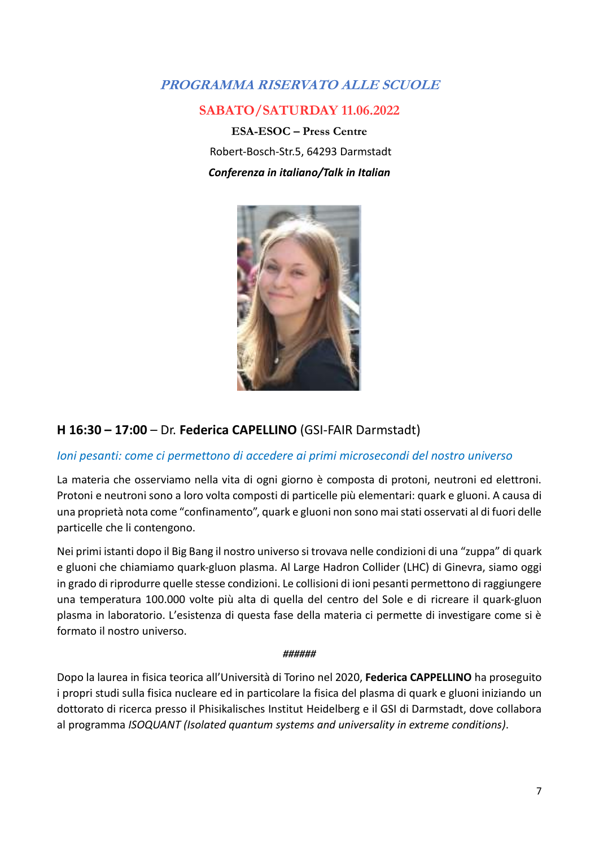# **PROGRAMMA RISERVATO ALLE SCUOLE**

# **SABATO/SATURDAY 11.06.2022**

**ESA-ESOC – Press Centre** Robert-Bosch-Str.5, 64293 Darmstadt *Conferenza in italiano/Talk in Italian*



# **H 16:30 – 17:00** – Dr. **Federica CAPELLINO** (GSI-FAIR Darmstadt)

# *Ioni pesanti: come ci permettono di accedere ai primi microsecondi del nostro universo*

La materia che osserviamo nella vita di ogni giorno è composta di protoni, neutroni ed elettroni. Protoni e neutroni sono a loro volta composti di particelle più elementari: quark e gluoni. A causa di una proprietà nota come "confinamento", quark e gluoni non sono mai stati osservati al di fuori delle particelle che li contengono.

Nei primi istanti dopo il Big Bang il nostro universo si trovava nelle condizioni di una "zuppa" di quark e gluoni che chiamiamo quark-gluon plasma. Al Large Hadron Collider (LHC) di Ginevra, siamo oggi in grado di riprodurre quelle stesse condizioni. Le collisioni di ioni pesanti permettono di raggiungere una temperatura 100.000 volte più alta di quella del centro del Sole e di ricreare il quark-gluon plasma in laboratorio. L'esistenza di questa fase della materia ci permette di investigare come si è formato il nostro universo.

#### *######*

Dopo la laurea in fisica teorica all'Università di Torino nel 2020, **Federica CAPPELLINO** ha proseguito i propri studi sulla fisica nucleare ed in particolare la fisica del plasma di quark e gluoni iniziando un dottorato di ricerca presso il Phisikalisches Institut Heidelberg e il GSI di Darmstadt, dove collabora al programma *ISOQUANT (Isolated quantum systems and universality in extreme conditions)*.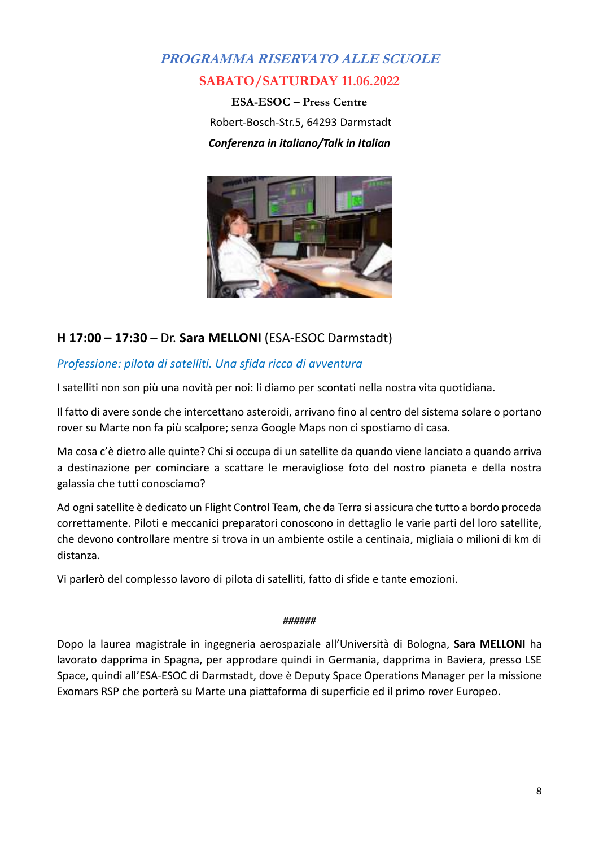# **PROGRAMMA RISERVATO ALLE SCUOLE SABATO/SATURDAY 11.06.2022**

**ESA-ESOC – Press Centre** Robert-Bosch-Str.5, 64293 Darmstadt *Conferenza in italiano/Talk in Italian*



# **H 17:00 – 17:30** – Dr. **Sara MELLONI** (ESA-ESOC Darmstadt)

# *Professione: pilota di satelliti. Una sfida ricca di avventura*

I satelliti non son più una novità per noi: li diamo per scontati nella nostra vita quotidiana.

Il fatto di avere sonde che intercettano asteroidi, arrivano fino al centro del sistema solare o portano rover su Marte non fa più scalpore; senza Google Maps non ci spostiamo di casa.

Ma cosa c'è dietro alle quinte? Chi si occupa di un satellite da quando viene lanciato a quando arriva a destinazione per cominciare a scattare le meravigliose foto del nostro pianeta e della nostra galassia che tutti conosciamo?

Ad ogni satellite è dedicato un Flight Control Team, che da Terra si assicura che tutto a bordo proceda correttamente. Piloti e meccanici preparatori conoscono in dettaglio le varie parti del loro satellite, che devono controllare mentre si trova in un ambiente ostile a centinaia, migliaia o milioni di km di distanza.

Vi parlerò del complesso lavoro di pilota di satelliti, fatto di sfide e tante emozioni.

#### *######*

Dopo la laurea magistrale in ingegneria aerospaziale all'Università di Bologna, **Sara MELLONI** ha lavorato dapprima in Spagna, per approdare quindi in Germania, dapprima in Baviera, presso LSE Space, quindi all'ESA-ESOC di Darmstadt, dove è Deputy Space Operations Manager per la missione Exomars RSP che porterà su Marte una piattaforma di superficie ed il primo rover Europeo.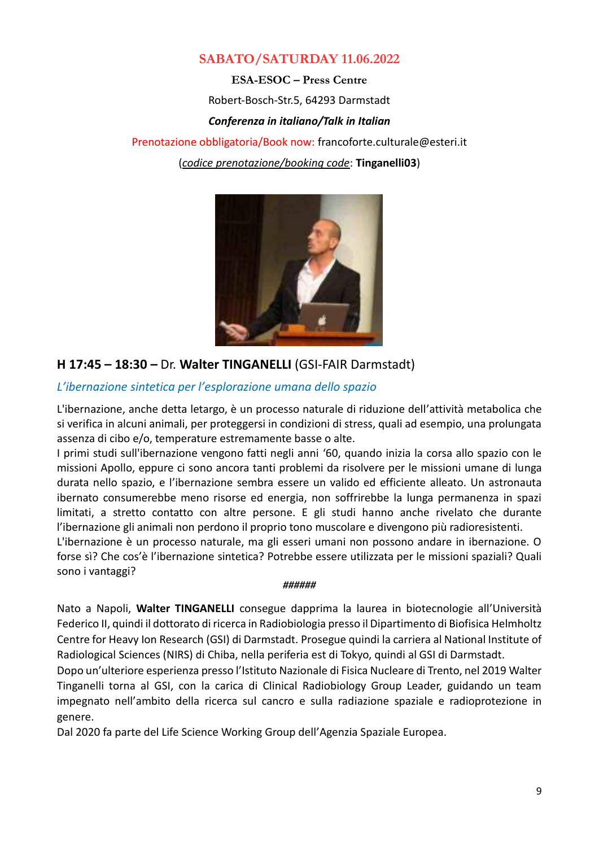# **SABATO/SATURDAY 11.06.2022**

**ESA-ESOC – Press Centre** Robert-Bosch-Str.5, 64293 Darmstadt *Conferenza in italiano/Talk in Italian* Prenotazione obbligatoria/Book now: [francoforte.culturale@esteri.it](mailto:francoforte.culturale@esteri.it) (*codice prenotazione/booking code*: **Tinganelli03**)



# **H 17:45 – 18:30** *–* Dr. **Walter TINGANELLI** (GSI-FAIR Darmstadt)

## *L'ibernazione sintetica per l'esplorazione umana dello spazio*

L'ibernazione, anche detta letargo, è un processo naturale di riduzione dell'attività metabolica che si verifica in alcuni animali, per proteggersi in condizioni di stress, quali ad esempio, una prolungata assenza di cibo e/o, temperature estremamente basse o alte.

I primi studi sull'ibernazione vengono fatti negli anni '60, quando inizia la corsa allo spazio con le missioni Apollo, eppure ci sono ancora tanti problemi da risolvere per le missioni umane di lunga durata nello spazio, e l'ibernazione sembra essere un valido ed efficiente alleato. Un astronauta ibernato consumerebbe meno risorse ed energia, non soffrirebbe la lunga permanenza in spazi limitati, a stretto contatto con altre persone. E gli studi hanno anche rivelato che durante l'ibernazione gli animali non perdono il proprio tono muscolare e divengono più radioresistenti.

L'ibernazione è un processo naturale, ma gli esseri umani non possono andare in ibernazione. O forse sì? Che cos'è l'ibernazione sintetica? Potrebbe essere utilizzata per le missioni spaziali? Quali sono i vantaggi?

#### *######*

Nato a Napoli, **Walter TINGANELLI** consegue dapprima la laurea in biotecnologie all'Università Federico II, quindi il dottorato di ricerca in Radiobiologia presso il Dipartimento di Biofisica Helmholtz Centre for Heavy Ion Research (GSI) di Darmstadt. Prosegue quindi la carriera al National Institute of Radiological Sciences (NIRS) di Chiba, nella periferia est di Tokyo, quindi al GSI di Darmstadt.

Dopo un'ulteriore esperienza presso l'Istituto Nazionale di Fisica Nucleare di Trento, nel 2019 Walter Tinganelli torna al GSI, con la carica di Clinical Radiobiology Group Leader, guidando un team impegnato nell'ambito della ricerca sul cancro e sulla radiazione spaziale e radioprotezione in genere.

Dal 2020 fa parte del Life Science Working Group dell'Agenzia Spaziale Europea.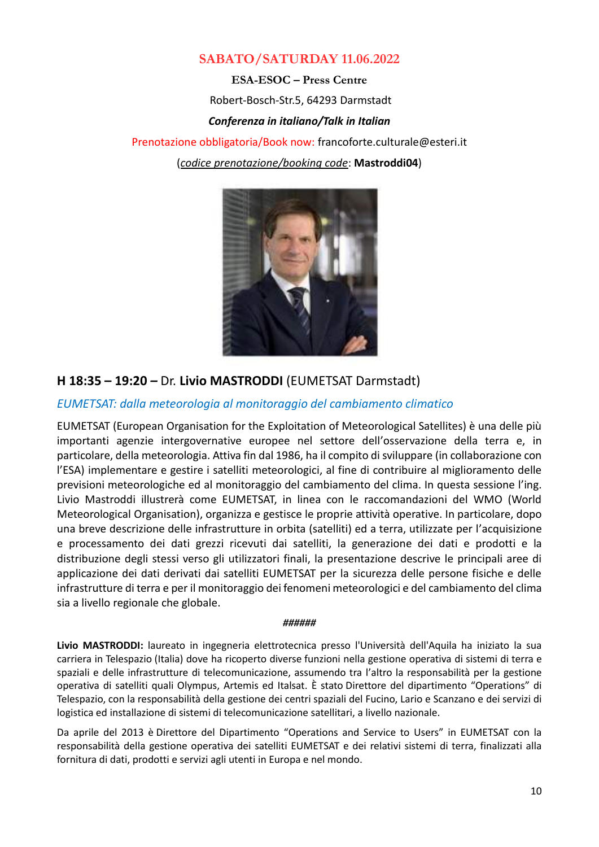# **SABATO/SATURDAY 11.06.2022**

**ESA-ESOC – Press Centre**

Robert-Bosch-Str.5, 64293 Darmstadt

#### *Conferenza in italiano/Talk in Italian*

Prenotazione obbligatoria/Book now: [francoforte.culturale@esteri.it](mailto:francoforte.culturale@esteri.it)

(*codice prenotazione/booking code*: **Mastroddi04**)



# **H 18:35 – 19:20** *–* Dr. **Livio MASTRODDI** (EUMETSAT Darmstadt)

## *EUMETSAT: dalla meteorologia al monitoraggio del cambiamento climatico*

EUMETSAT (European Organisation for the Exploitation of Meteorological Satellites) è una delle più importanti agenzie intergovernative europee nel settore dell'osservazione della terra e, in particolare, della meteorologia. Attiva fin dal 1986, ha il compito di sviluppare (in collaborazione con l'ESA) implementare e gestire i satelliti meteorologici, al fine di contribuire al miglioramento delle previsioni meteorologiche ed al monitoraggio del cambiamento del clima. In questa sessione l'ing. Livio Mastroddi illustrerà come EUMETSAT, in linea con le raccomandazioni del WMO (World Meteorological Organisation), organizza e gestisce le proprie attività operative. In particolare, dopo una breve descrizione delle infrastrutture in orbita (satelliti) ed a terra, utilizzate per l'acquisizione e processamento dei dati grezzi ricevuti dai satelliti, la generazione dei dati e prodotti e la distribuzione degli stessi verso gli utilizzatori finali, la presentazione descrive le principali aree di applicazione dei dati derivati dai satelliti EUMETSAT per la sicurezza delle persone fisiche e delle infrastrutture di terra e per il monitoraggio dei fenomeni meteorologici e del cambiamento del clima sia a livello regionale che globale.

#### *######*

**Livio MASTRODDI:** laureato in ingegneria elettrotecnica presso l'Università dell'Aquila ha iniziato la sua carriera in Telespazio (Italia) dove ha ricoperto diverse funzioni nella gestione operativa di sistemi di terra e spaziali e delle infrastrutture di telecomunicazione, assumendo tra l'altro la responsabilità per la gestione operativa di satelliti quali Olympus, Artemis ed Italsat. È stato Direttore del dipartimento "Operations" di Telespazio, con la responsabilità della gestione dei centri spaziali del Fucino, Lario e Scanzano e dei servizi di logistica ed installazione di sistemi di telecomunicazione satellitari, a livello nazionale.

Da aprile del 2013 è Direttore del Dipartimento "Operations and Service to Users" in EUMETSAT con la responsabilità della gestione operativa dei satelliti EUMETSAT e dei relativi sistemi di terra, finalizzati alla fornitura di dati, prodotti e servizi agli utenti in Europa e nel mondo.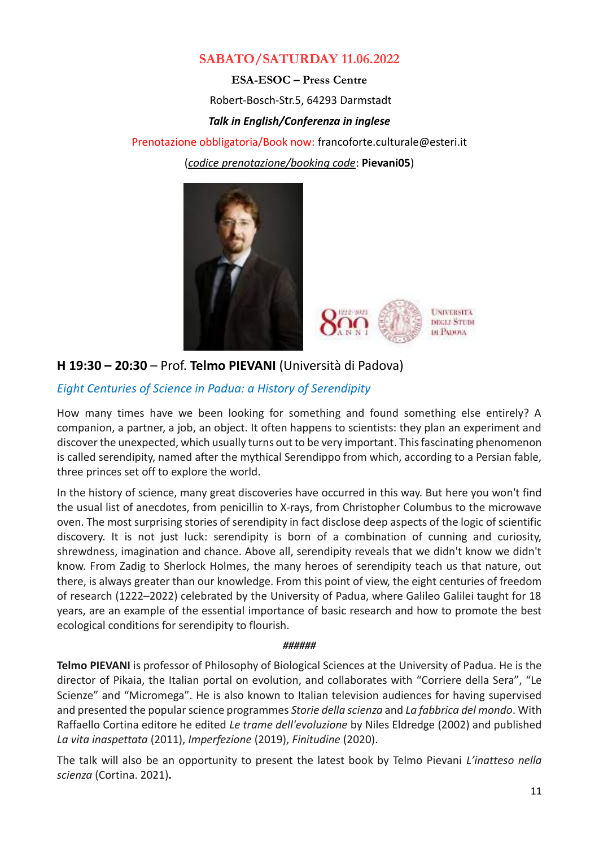# **SABATO/SATURDAY 11.06.2022**

**ESA-ESOC – Press Centre**

Robert-Bosch-Str.5, 64293 Darmstadt

#### *Talk in English/Conferenza in inglese*

Prenotazione obbligatoria/Book now: [francoforte.culturale@esteri.it](mailto:francoforte.culturale@esteri.it)

(*codice prenotazione/booking code*: **Pievani05**)





# **H 19:30 – 20:30** – Prof. **Telmo PIEVANI** (Università di Padova)

# *Eight Centuries of Science in Padua: a History of Serendipity*

How many times have we been looking for something and found something else entirely? A companion, a partner, a job, an object. It often happens to scientists: they plan an experiment and discover the unexpected, which usually turns out to be very important. This fascinating phenomenon is called serendipity, named after the mythical Serendippo from which, according to a Persian fable, three princes set off to explore the world.

In the history of science, many great discoveries have occurred in this way. But here you won't find the usual list of anecdotes, from penicillin to X-rays, from Christopher Columbus to the microwave oven. The most surprising stories of serendipity in fact disclose deep aspects of the logic of scientific discovery. It is not just luck: serendipity is born of a combination of cunning and curiosity, shrewdness, imagination and chance. Above all, serendipity reveals that we didn't know we didn't know. From Zadig to Sherlock Holmes, the many heroes of serendipity teach us that nature, out there, is always greater than our knowledge. From this point of view, the eight centuries of freedom of research (1222–2022) celebrated by the University of Padua, where Galileo Galilei taught for 18 years, are an example of the essential importance of basic research and how to promote the best ecological conditions for serendipity to flourish.

#### *######*

**Telmo PIEVANI** is professor of Philosophy of Biological Sciences at the University of Padua. He is the director of Pikaia, the Italian portal on evolution, and collaborates with "Corriere della Sera", "Le Scienze" and "Micromega". He is also known to Italian television audiences for having supervised and presented the popular science programmes *Storie della scienza* and *La fabbrica del mondo*. With Raffaello Cortina editore he edited *Le trame dell'evoluzione* by Niles Eldredge (2002) and published *La vita inaspettata* (2011), *Imperfezione* (2019), *Finitudine* (2020).

The talk will also be an opportunity to present the latest book by Telmo Pievani *L'inatteso nella scienza* (Cortina. 2021)**.**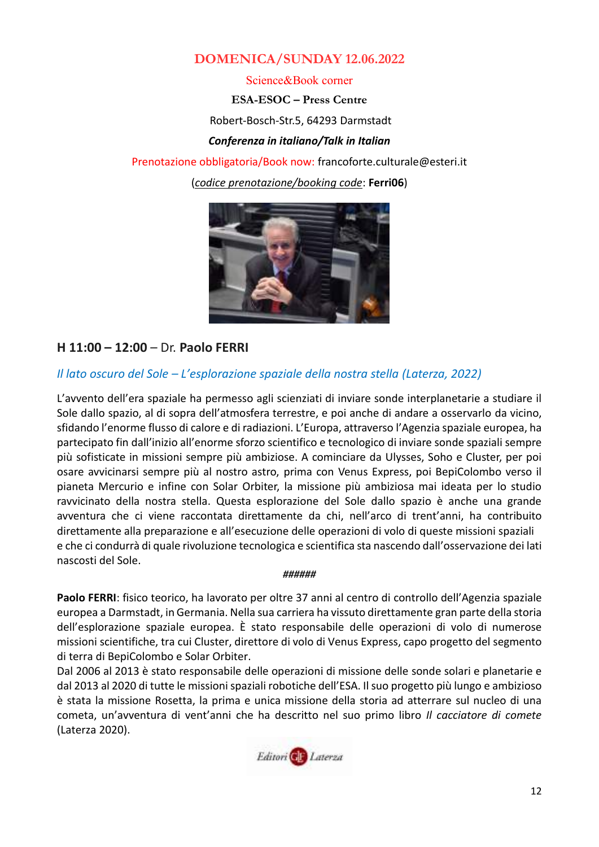# **DOMENICA/SUNDAY 12.06.2022**

Science&Book corner

**ESA-ESOC – Press Centre**

Robert-Bosch-Str.5, 64293 Darmstadt

*Conferenza in italiano/Talk in Italian*

Prenotazione obbligatoria/Book now: [francoforte.culturale@esteri.it](mailto:francoforte.culturale@esteri.it) (*codice prenotazione/booking code*: **Ferri06**)



# **H 11:00 – 12:00** – Dr. **Paolo FERRI**

# *Il lato oscuro del Sole – L'esplorazione spaziale della nostra stella (Laterza, 2022)*

L'avvento dell'era spaziale ha permesso agli scienziati di inviare sonde interplanetarie a studiare il Sole dallo spazio, al di sopra dell'atmosfera terrestre, e poi anche di andare a osservarlo da vicino, sfidando l'enorme flusso di calore e di radiazioni. L'Europa, attraverso l'Agenzia spaziale europea, ha partecipato fin dall'inizio all'enorme sforzo scientifico e tecnologico di inviare sonde spaziali sempre più sofisticate in missioni sempre più ambiziose. A cominciare da Ulysses, Soho e Cluster, per poi osare avvicinarsi sempre più al nostro astro, prima con Venus Express, poi BepiColombo verso il pianeta Mercurio e infine con Solar Orbiter, la missione più ambiziosa mai ideata per lo studio ravvicinato della nostra stella. Questa esplorazione del Sole dallo spazio è anche una grande avventura che ci viene raccontata direttamente da chi, nell'arco di trent'anni, ha contribuito direttamente alla preparazione e all'esecuzione delle operazioni di volo di queste missioni spaziali e che ci condurrà di quale rivoluzione tecnologica e scientifica sta nascendo dall'osservazione dei lati nascosti del Sole.

#### *######*

**Paolo FERRI**: fisico teorico, ha lavorato per oltre 37 anni al centro di controllo dell'Agenzia spaziale europea a Darmstadt, in Germania. Nella sua carriera ha vissuto direttamente gran parte della storia dell'esplorazione spaziale europea. È stato responsabile delle operazioni di volo di numerose missioni scientifiche, tra cui Cluster, direttore di volo di Venus Express, capo progetto del segmento di terra di BepiColombo e Solar Orbiter.

Dal 2006 al 2013 è stato responsabile delle operazioni di missione delle sonde solari e planetarie e dal 2013 al 2020 di tutte le missioni spaziali robotiche dell'ESA. Il suo progetto più lungo e ambizioso è stata la missione Rosetta, la prima e unica missione della storia ad atterrare sul nucleo di una cometa, un'avventura di vent'anni che ha descritto nel suo primo libro *Il cacciatore di comete*  (Laterza 2020).

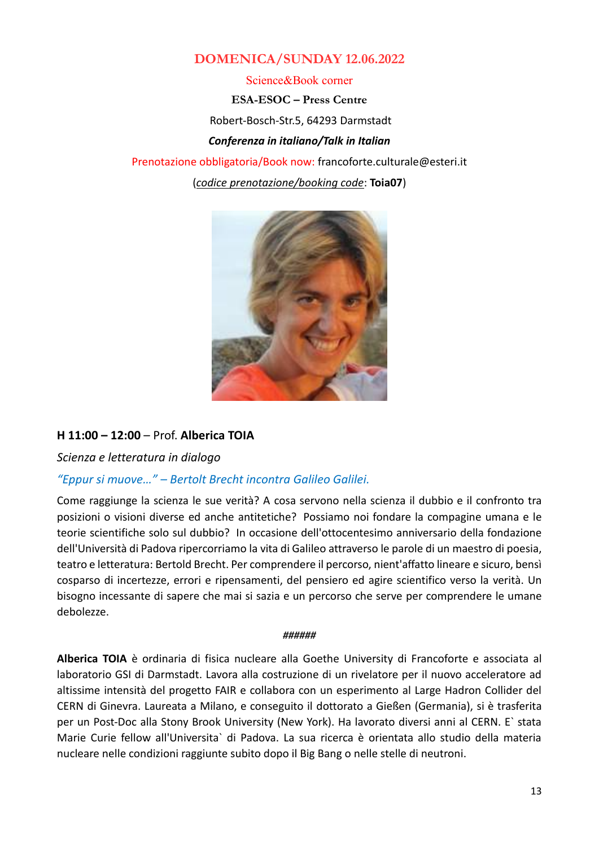# **DOMENICA/SUNDAY 12.06.2022**

Science&Book corner

**ESA-ESOC – Press Centre** Robert-Bosch-Str.5, 64293 Darmstadt *Conferenza in italiano/Talk in Italian*

Prenotazione obbligatoria/Book now: [francoforte.culturale@esteri.it](mailto:francoforte.culturale@esteri.it) (*codice prenotazione/booking code*: **Toia07**)



# **H 11:00 – 12:00** – Prof. **Alberica TOIA**

*Scienza e letteratura in dialogo*

# *"Eppur si muove…" – Bertolt Brecht incontra Galileo Galilei.*

Come raggiunge la scienza le sue verità? A cosa servono nella scienza il dubbio e il confronto tra posizioni o visioni diverse ed anche antitetiche? Possiamo noi fondare la compagine umana e le teorie scientifiche solo sul dubbio? In occasione dell'ottocentesimo anniversario della fondazione dell'Università di Padova ripercorriamo la vita di Galileo attraverso le parole di un maestro di poesia, teatro e letteratura: Bertold Brecht. Per comprendere il percorso, nient'affatto lineare e sicuro, bensì cosparso di incertezze, errori e ripensamenti, del pensiero ed agire scientifico verso la verità. Un bisogno incessante di sapere che mai si sazia e un percorso che serve per comprendere le umane debolezze.

#### *######*

**Alberica TOIA** è ordinaria di fisica nucleare alla Goethe University di Francoforte e associata al laboratorio GSI di Darmstadt. Lavora alla costruzione di un rivelatore per il nuovo acceleratore ad altissime intensità del progetto FAIR e collabora con un esperimento al Large Hadron Collider del CERN di Ginevra. Laureata a Milano, e conseguito il dottorato a Gießen (Germania), si è trasferita per un Post-Doc alla Stony Brook University (New York). Ha lavorato diversi anni al CERN. E` stata Marie Curie fellow all'Universita` di Padova. La sua ricerca è orientata allo studio della materia nucleare nelle condizioni raggiunte subito dopo il Big Bang o nelle stelle di neutroni.